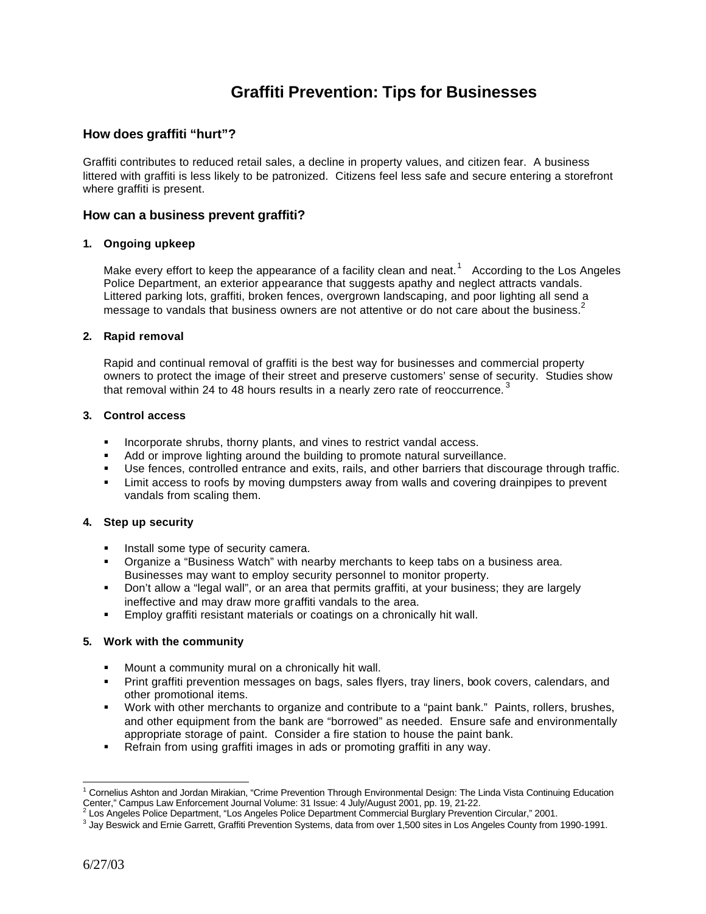# **Graffiti Prevention: Tips for Businesses**

# **How does graffiti "hurt"?**

Graffiti contributes to reduced retail sales, a decline in property values, and citizen fear. A business littered with graffiti is less likely to be patronized. Citizens feel less safe and secure entering a storefront where graffiti is present.

#### **How can a business prevent graffiti?**

#### **1. Ongoing upkeep**

Make every effort to keep the appearance of a facility clean and neat.<sup>1</sup> According to the Los Angeles Police Department, an exterior appearance that suggests apathy and neglect attracts vandals. Littered parking lots, graffiti, broken fences, overgrown landscaping, and poor lighting all send a message to vandals that business owners are not attentive or do not care about the business.<sup>2</sup>

#### **2. Rapid removal**

Rapid and continual removal of graffiti is the best way for businesses and commercial property owners to protect the image of their street and preserve customers' sense of security. Studies show that removal within 24 to 48 hours results in a nearly zero rate of reoccurrence.<sup>3</sup>

#### **3. Control access**

- **Incorporate shrubs, thorny plants, and vines to restrict vandal access.**
- ß Add or improve lighting around the building to promote natural surveillance.
- **Use fences, controlled entrance and exits, rails, and other barriers that discourage through traffic.**
- ß Limit access to roofs by moving dumpsters away from walls and covering drainpipes to prevent vandals from scaling them.

#### **4. Step up security**

- **Install some type of security camera.**
- **•** Organize a "Business Watch" with nearby merchants to keep tabs on a business area. Businesses may want to employ security personnel to monitor property.
- Don't allow a "legal wall", or an area that permits graffiti, at your business; they are largely ineffective and may draw more graffiti vandals to the area.
- **Employ graffiti resistant materials or coatings on a chronically hit wall.**

#### **5. Work with the community**

- ß Mount a community mural on a chronically hit wall.
- **Print graffiti prevention messages on bags, sales flyers, tray liners, book covers, calendars, and** other promotional items.
- **Work with other merchants to organize and contribute to a "paint bank." Paints, rollers, brushes,** and other equipment from the bank are "borrowed" as needed. Ensure safe and environmentally appropriate storage of paint. Consider a fire station to house the paint bank.
- Refrain from using graffiti images in ads or promoting graffiti in any way.

 1 Cornelius Ashton and Jordan Mirakian, "Crime Prevention Through Environmental Design: The Linda Vista Continuing Education Center," Campus Law Enforcement Journal Volume: 31 Issue: 4 July/August 2001, pp. 19, 21-22.<br><sup>2</sup> Los Angeles Police Department, "Los Angeles Police Department Commercial Burglary Prevention Circular," 2001.

<sup>3</sup> Jay Beswick and Ernie Garrett, Graffiti Prevention Systems, data from over 1,500 sites in Los Angeles County from 1990-1991.